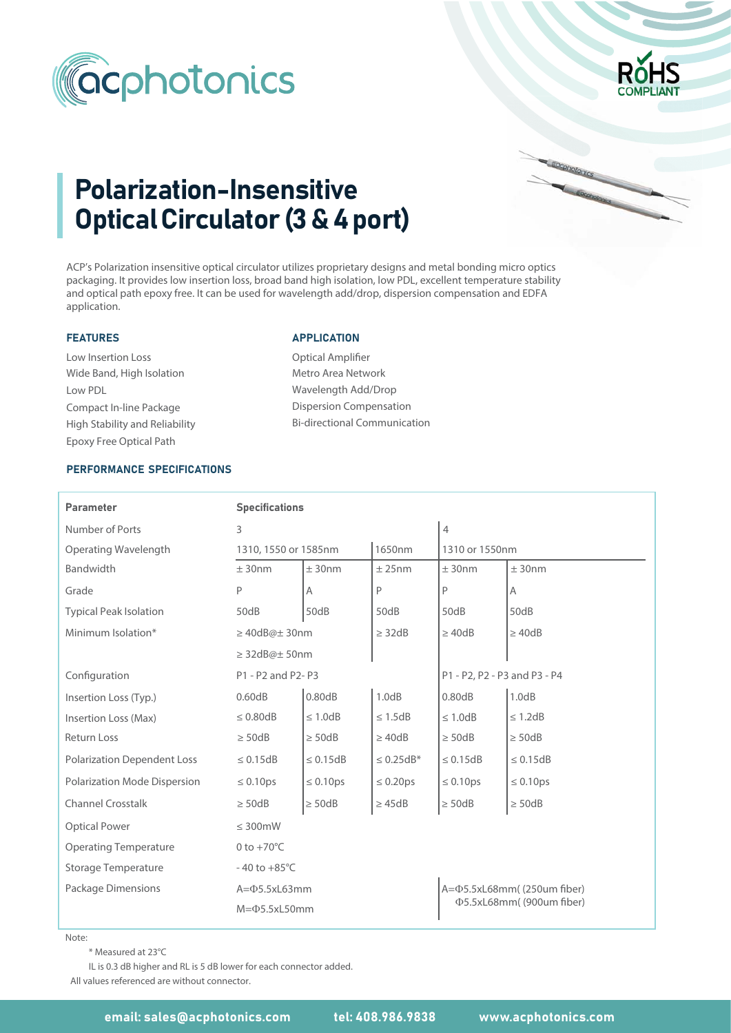



cocphotonics

# Polarization-Insensitive Optical Circulator (3 & 4 port)

ACP's Polarization insensitive optical circulator utilizes proprietary designs and metal bonding micro optics packaging. It provides low insertion loss, broad band high isolation, low PDL, excellent temperature stability and optical path epoxy free. It can be used for wavelength add/drop, dispersion compensation and EDFA application.

## FEATURES

Wide Band, High Isolation Low Insertion Loss Low PDL Compact In-line Package Epoxy Free Optical Path High Stability and Reliability

#### APPLICATION

Optical Amplifier Metro Area Network Wavelength Add/Drop Dispersion Compensation Bi-directional Communication

## PERFORMANCE SPECIFICATIONS

| <b>Parameter</b>                   | <b>Specifications</b>                  |                |                       |                                   |                                  |
|------------------------------------|----------------------------------------|----------------|-----------------------|-----------------------------------|----------------------------------|
| Number of Ports                    | 3                                      |                | $\overline{4}$        |                                   |                                  |
| Operating Wavelength               | 1650nm<br>1310, 1550 or 1585nm         |                | 1310 or 1550nm        |                                   |                                  |
| Bandwidth                          | ± 30nm                                 | ± 30nm         | ± 25nm                | ± 30nm                            | ± 30nm                           |
| Grade                              | P                                      | A              | P                     | P                                 | Α                                |
| <b>Typical Peak Isolation</b>      | 50dB                                   | 50dB           | 50dB                  | 50dB                              | 50dB                             |
| Minimum Isolation*                 | $\geq$ 40dB@ $\pm$ 30nm<br>$\geq$ 32dB |                |                       | $\geq$ 40dB                       | $\geq 40dB$                      |
|                                    | $\geq$ 32dB@ $\pm$ 50nm                |                |                       |                                   |                                  |
| Configuration                      | P1 - P2 and P2- P3                     |                |                       | P1 - P2, P2 - P3 and P3 - P4      |                                  |
| Insertion Loss (Typ.)              | 0.60dB                                 | 0.80dB         | 1.0dB                 | 0.80dB                            | 1.0dB                            |
| Insertion Loss (Max)               | $\leq 0.80dB$                          | $\leq 1.0$ dB  | $\leq$ 1.5dB          | $\leq 1.0$ dB                     | $\leq$ 1.2dB                     |
| <b>Return Loss</b>                 | $\geq$ 50dB                            | $\geq$ 50dB    | $\geq 40dB$           | $\geq$ 50dB                       | $\geq$ 50dB                      |
| <b>Polarization Dependent Loss</b> | $\leq 0.15dB$                          | $\leq 0.15$ dB | $\leq$ 0.25dB*        | $\leq 0.15dB$                     | $\leq 0.15dB$                    |
| Polarization Mode Dispersion       | $\leq 0.10$ ps                         | $\leq 0.10$ ps | $\leq 0.20 \text{ps}$ | $\leq 0.10$ ps                    | $\leq 0.10$ ps                   |
| <b>Channel Crosstalk</b>           | $\geq$ 50dB                            | $\geq$ 50dB    | $\geq$ 45dB           | $\geq$ 50dB                       | $\geq$ 50dB                      |
| <b>Optical Power</b>               | $\leq$ 300mW                           |                |                       |                                   |                                  |
| <b>Operating Temperature</b>       | 0 to $+70^{\circ}$ C                   |                |                       |                                   |                                  |
| <b>Storage Temperature</b>         | $-40$ to $+85^{\circ}$ C               |                |                       |                                   |                                  |
| Package Dimensions                 | $A = \Phi$ 5.5xL63mm                   |                |                       | A= $\Phi$ 5.5xL68mm((250um fiber) |                                  |
|                                    | $M = \Phi$ 5.5xL50mm                   |                |                       |                                   | <b>Φ5.5xL68mm( (900um fiber)</b> |

Note:

\* Measured at 23°C

IL is 0.3 dB higher and RL is 5 dB lower for each connector added.

All values referenced are without connector.